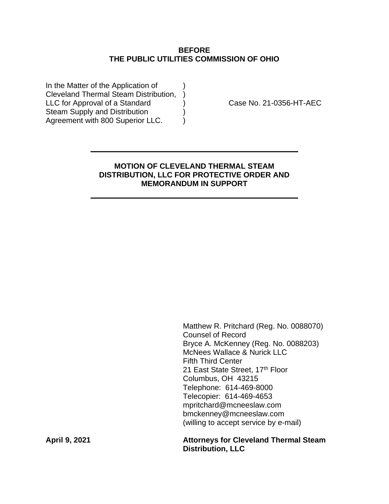## **BEFORE THE PUBLIC UTILITIES COMMISSION OF OHIO**

In the Matter of the Application of Cleveland Thermal Steam Distribution, ) LLC for Approval of a Standard (a) Case No. 21-0356-HT-AEC Steam Supply and Distribution (1) Agreement with 800 Superior LLC.  $\qquad$ 

# **MOTION OF CLEVELAND THERMAL STEAM DISTRIBUTION, LLC FOR PROTECTIVE ORDER AND MEMORANDUM IN SUPPORT**

Matthew R. Pritchard (Reg. No. 0088070) Counsel of Record Bryce A. McKenney (Reg. No. 0088203) McNees Wallace & Nurick LLC Fifth Third Center 21 East State Street, 17th Floor Columbus, OH 43215 Telephone: 614-469-8000 Telecopier: 614-469-4653 mpritchard@mcneeslaw.com bmckenney@mcneeslaw.com (willing to accept service by e-mail)

**April 9, 2021 Attorneys for Cleveland Thermal Steam Distribution, LLC**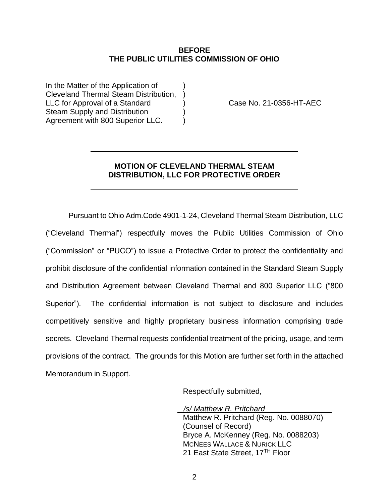#### **BEFORE THE PUBLIC UTILITIES COMMISSION OF OHIO**

In the Matter of the Application of Cleveland Thermal Steam Distribution, ) LLC for Approval of a Standard (a) Case No. 21-0356-HT-AEC Steam Supply and Distribution ) Agreement with 800 Superior LLC. )

## **MOTION OF CLEVELAND THERMAL STEAM DISTRIBUTION, LLC FOR PROTECTIVE ORDER**

Pursuant to Ohio Adm.Code 4901-1-24, Cleveland Thermal Steam Distribution, LLC ("Cleveland Thermal") respectfully moves the Public Utilities Commission of Ohio ("Commission" or "PUCO") to issue a Protective Order to protect the confidentiality and prohibit disclosure of the confidential information contained in the Standard Steam Supply and Distribution Agreement between Cleveland Thermal and 800 Superior LLC ("800 Superior"). The confidential information is not subject to disclosure and includes competitively sensitive and highly proprietary business information comprising trade secrets. Cleveland Thermal requests confidential treatment of the pricing, usage, and term provisions of the contract. The grounds for this Motion are further set forth in the attached Memorandum in Support.

Respectfully submitted,

 */s/ Matthew R. Pritchard*

Matthew R. Pritchard (Reg. No. 0088070) (Counsel of Record) Bryce A. McKenney (Reg. No. 0088203) MCNEES WALLACE & NURICK LLC 21 East State Street, 17<sup>TH</sup> Floor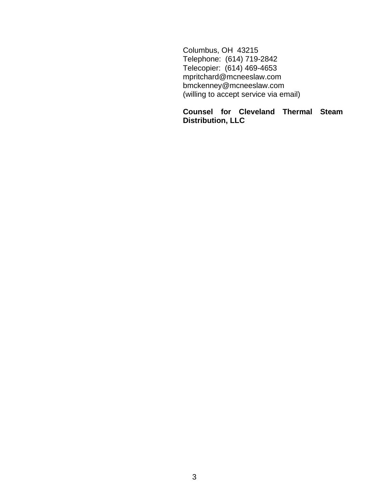Columbus, OH 43215 Telephone: (614) 719-2842 Telecopier: (614) 469-4653 mpritchard@mcneeslaw.com bmckenney@mcneeslaw.com (willing to accept service via email)

# **Counsel for Cleveland Thermal Steam Distribution, LLC**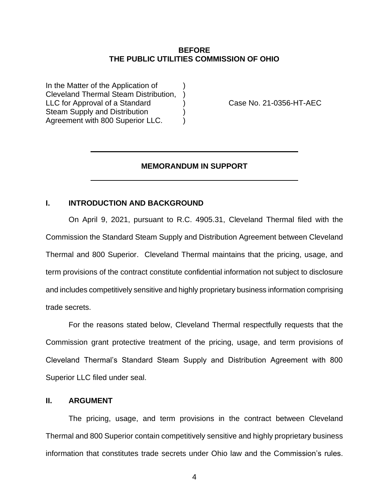#### **BEFORE THE PUBLIC UTILITIES COMMISSION OF OHIO**

In the Matter of the Application of Cleveland Thermal Steam Distribution, ) LLC for Approval of a Standard (a) Case No. 21-0356-HT-AEC Steam Supply and Distribution ) Agreement with 800 Superior LLC. )

## **MEMORANDUM IN SUPPORT**

#### **I. INTRODUCTION AND BACKGROUND**

On April 9, 2021, pursuant to R.C. 4905.31, Cleveland Thermal filed with the Commission the Standard Steam Supply and Distribution Agreement between Cleveland Thermal and 800 Superior. Cleveland Thermal maintains that the pricing, usage, and term provisions of the contract constitute confidential information not subject to disclosure and includes competitively sensitive and highly proprietary business information comprising trade secrets.

For the reasons stated below, Cleveland Thermal respectfully requests that the Commission grant protective treatment of the pricing, usage, and term provisions of Cleveland Thermal's Standard Steam Supply and Distribution Agreement with 800 Superior LLC filed under seal.

#### **II. ARGUMENT**

The pricing, usage, and term provisions in the contract between Cleveland Thermal and 800 Superior contain competitively sensitive and highly proprietary business information that constitutes trade secrets under Ohio law and the Commission's rules.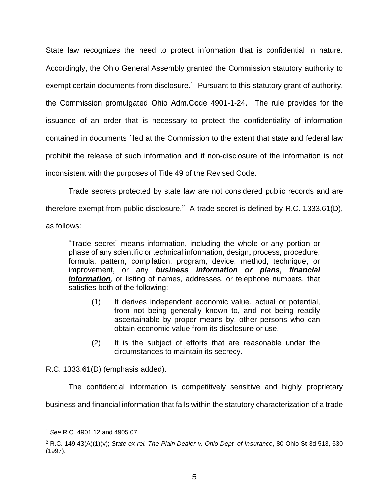State law recognizes the need to protect information that is confidential in nature. Accordingly, the Ohio General Assembly granted the Commission statutory authority to exempt certain documents from disclosure.<sup>1</sup> Pursuant to this statutory grant of authority, the Commission promulgated Ohio Adm.Code 4901-1-24. The rule provides for the issuance of an order that is necessary to protect the confidentiality of information contained in documents filed at the Commission to the extent that state and federal law prohibit the release of such information and if non-disclosure of the information is not inconsistent with the purposes of Title 49 of the Revised Code.

Trade secrets protected by state law are not considered public records and are therefore exempt from public disclosure.<sup>2</sup> A trade secret is defined by R.C. 1333.61(D), as follows:

"Trade secret" means information, including the whole or any portion or phase of any scientific or technical information, design, process, procedure, formula, pattern, compilation, program, device, method, technique, or improvement, or any *business information or plans, financial information*, or listing of names, addresses, or telephone numbers, that satisfies both of the following:

- (1) It derives independent economic value, actual or potential, from not being generally known to, and not being readily ascertainable by proper means by, other persons who can obtain economic value from its disclosure or use.
- (2) It is the subject of efforts that are reasonable under the circumstances to maintain its secrecy.

R.C. 1333.61(D) (emphasis added).

The confidential information is competitively sensitive and highly proprietary

business and financial information that falls within the statutory characterization of a trade

<sup>1</sup> *See* R.C. 4901.12 and 4905.07.

<sup>2</sup> R.C. 149.43(A)(1)(v); *State ex rel. The Plain Dealer v. Ohio Dept. of Insurance*, 80 Ohio St.3d 513, 530 (1997).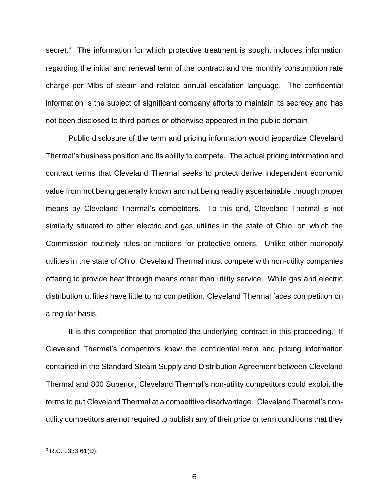secret.<sup>3</sup> The information for which protective treatment is sought includes information regarding the initial and renewal term of the contract and the monthly consumption rate charge per Mlbs of steam and related annual escalation language. The confidential information is the subject of significant company efforts to maintain its secrecy and has not been disclosed to third parties or otherwise appeared in the public domain.

Public disclosure of the term and pricing information would jeopardize Cleveland Thermal's business position and its ability to compete. The actual pricing information and contract terms that Cleveland Thermal seeks to protect derive independent economic value from not being generally known and not being readily ascertainable through proper means by Cleveland Thermal's competitors. To this end, Cleveland Thermal is not similarly situated to other electric and gas utilities in the state of Ohio, on which the Commission routinely rules on motions for protective orders. Unlike other monopoly utilities in the state of Ohio, Cleveland Thermal must compete with non-utility companies offering to provide heat through means other than utility service. While gas and electric distribution utilities have little to no competition, Cleveland Thermal faces competition on a regular basis.

It is this competition that prompted the underlying contract in this proceeding. If Cleveland Thermal's competitors knew the confidential term and pricing information contained in the Standard Steam Supply and Distribution Agreement between Cleveland Thermal and 800 Superior, Cleveland Thermal's non-utility competitors could exploit the terms to put Cleveland Thermal at a competitive disadvantage. Cleveland Thermal's nonutility competitors are not required to publish any of their price or term conditions that they

 $3$  R.C. 1333.61(D).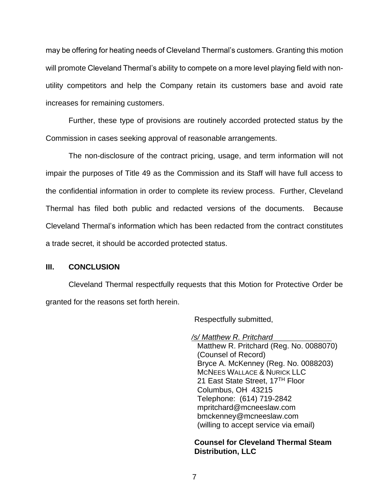may be offering for heating needs of Cleveland Thermal's customers. Granting this motion will promote Cleveland Thermal's ability to compete on a more level playing field with nonutility competitors and help the Company retain its customers base and avoid rate increases for remaining customers.

Further, these type of provisions are routinely accorded protected status by the Commission in cases seeking approval of reasonable arrangements.

The non-disclosure of the contract pricing, usage, and term information will not impair the purposes of Title 49 as the Commission and its Staff will have full access to the confidential information in order to complete its review process. Further, Cleveland Thermal has filed both public and redacted versions of the documents. Because Cleveland Thermal's information which has been redacted from the contract constitutes a trade secret, it should be accorded protected status.

### **III. CONCLUSION**

Cleveland Thermal respectfully requests that this Motion for Protective Order be granted for the reasons set forth herein.

Respectfully submitted,

*/s/ Matthew R. Pritchard* Matthew R. Pritchard (Reg. No. 0088070) (Counsel of Record) Bryce A. McKenney (Reg. No. 0088203) MCNEES WALLACE & NURICK LLC 21 East State Street, 17TH Floor Columbus, OH 43215 Telephone: (614) 719-2842 mpritchard@mcneeslaw.com bmckenney@mcneeslaw.com (willing to accept service via email)

**Counsel for Cleveland Thermal Steam Distribution, LLC**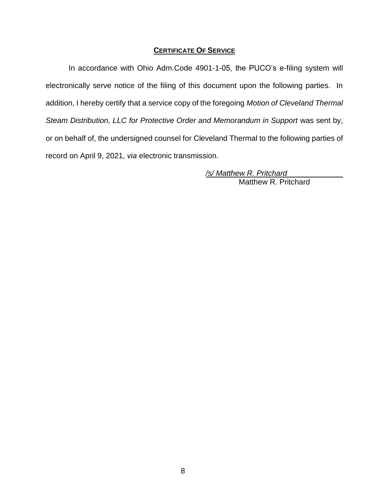### **CERTIFICATE OF SERVICE**

In accordance with Ohio Adm.Code 4901-1-05, the PUCO's e-filing system will electronically serve notice of the filing of this document upon the following parties. In addition, I hereby certify that a service copy of the foregoing *Motion of Cleveland Thermal Steam Distribution, LLC for Protective Order and Memorandum in Support* was sent by, or on behalf of, the undersigned counsel for Cleveland Thermal to the following parties of record on April 9, 2021, *via* electronic transmission.

> */s/ Matthew R. Pritchard* Matthew R. Pritchard